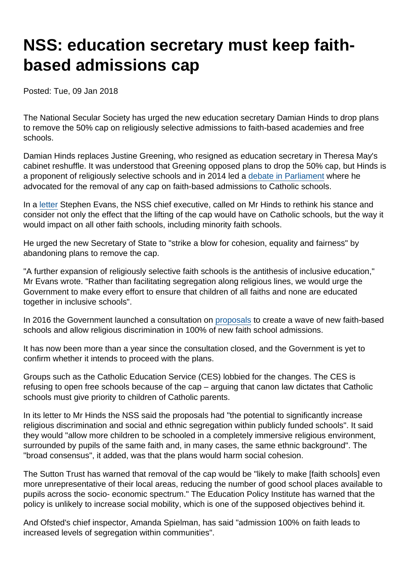# NSS: education secretary must keep faithbased admissions cap

Posted: Tue, 09 Jan 2018

The National Secular Society has urged the new education secretary Damian Hinds to drop plans to remove the 50% cap on religiously selective admissions to faith-based academies and free schools.

Damian Hinds replaces Justine Greening, who resigned as education secretary in Theresa May's cabinet reshuffle. It was understood that Greening opposed plans to drop the 50% cap, but Hinds is a proponent of religiously selective schools and in 2014 led a [debate in Parliament](https://publications.parliament.uk/pa/cm201314/cmhansrd/cm140430/halltext/140430h0001.htm#14043042000002) where he advocated for the removal of any cap on faith-based admissions to Catholic schools.

In a [letter](https://www.secularism.org.uk/uploads/letter-to-damian-hinds-on-faith-admissions-cap.pdf) Stephen Evans, the NSS chief executive, called on Mr Hinds to rethink his stance and consider not only the effect that the lifting of the cap would have on Catholic schools, but the way it would impact on all other faith schools, including minority faith schools.

He urged the new Secretary of State to "strike a blow for cohesion, equality and fairness" by abandoning plans to remove the cap.

"A further expansion of religiously selective faith schools is the antithesis of inclusive education," Mr Evans wrote. "Rather than facilitating segregation along religious lines, we would urge the Government to make every effort to ensure that children of all faiths and none are educated together in inclusive schools".

In 2016 the Government launched a consultation on [proposals](https://www.secularism.org.uk/uploads/changes-to-faith-based-admissions-and-new-faith-based-academies-4.pdf) to create a wave of new faith-based schools and allow religious discrimination in 100% of new faith school admissions.

It has now been more than a year since the consultation closed, and the Government is yet to confirm whether it intends to proceed with the plans.

Groups such as the Catholic Education Service (CES) lobbied for the changes. The CES is refusing to open free schools because of the cap – arguing that canon law dictates that Catholic schools must give priority to children of Catholic parents.

In its letter to Mr Hinds the NSS said the proposals had "the potential to significantly increase religious discrimination and social and ethnic segregation within publicly funded schools". It said they would "allow more children to be schooled in a completely immersive religious environment, surrounded by pupils of the same faith and, in many cases, the same ethnic background". The "broad consensus", it added, was that the plans would harm social cohesion.

The Sutton Trust has warned that removal of the cap would be "likely to make [faith schools] even more unrepresentative of their local areas, reducing the number of good school places available to pupils across the socio- economic spectrum." The Education Policy Institute has warned that the policy is unlikely to increase social mobility, which is one of the supposed objectives behind it.

And Ofsted's chief inspector, Amanda Spielman, has said "admission 100% on faith leads to increased levels of segregation within communities".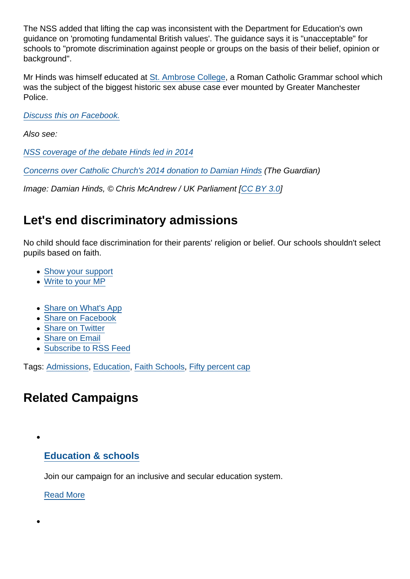The NSS added that lifting the cap was inconsistent with the Department for Education's own guidance on 'promoting fundamental British values'. The guidance says it is "unacceptable" for schools to "promote discrimination against people or groups on the basis of their belief, opinion or background".

Mr Hinds was himself educated at [St. Ambrose College](https://en.wikipedia.org/wiki/St._Ambrose_College), a Roman Catholic Grammar school which was the subject of the biggest historic sex abuse case ever mounted by Greater Manchester Police.

[Discuss this on Facebook.](https://www.facebook.com/NationalSecularSociety/posts/1606999489368396)

Also see:

[NSS coverage of the debate Hinds led in 2014](https://www.secularism.org.uk/news/2014/05/mps-call-for-catholic-schools-to-be-given-greater-freedoms-to-discriminate-in-admissions)

[Concerns over Catholic Church's 2014 donation to Damian Hinds](https://www.theguardian.com/politics/2018/jan/09/concerns-raised-over-churchs-donation-to-new-minister-damian-hinds) (The Guardian)

Image: Damian Hinds, © Chris McAndrew / UK Parliament [\[CC BY 3.0\]](https://creativecommons.org/licenses/by/3.0/legalcode)

### Let's end discriminatory admissions

No child should face discrimination for their parents' religion or belief. Our schools shouldn't select pupils based on faith.

- [Show your support](https://www.secularism.org.uk/faith-schools/end-pupil-discrimination.html#form199345)
- [Write to your MP](https://www.secularism.org.uk/mp-letter-faith-school-admission.html)
- [Share on What's App](whatsapp://send?text=http://www.secularism.org.uk/news/2018/01/nss-new-education-secretary-must-keep-faith-based-admissions-cap?format=pdf)
- [Share on Facebook](https://www.facebook.com/sharer/sharer.php?u=http://www.secularism.org.uk/news/2018/01/nss-new-education-secretary-must-keep-faith-based-admissions-cap?format=pdf&t=NSS:+education+secretary+must+keep+faith-based+admissions+cap)
- [Share on Twitter](https://twitter.com/intent/tweet?url=http://www.secularism.org.uk/news/2018/01/nss-new-education-secretary-must-keep-faith-based-admissions-cap?format=pdf&text=NSS:+education+secretary+must+keep+faith-based+admissions+cap&via=NatSecSoc)
- [Share on Email](https://www.secularism.org.uk/share.html?url=http://www.secularism.org.uk/news/2018/01/nss-new-education-secretary-must-keep-faith-based-admissions-cap?format=pdf&title=NSS:+education+secretary+must+keep+faith-based+admissions+cap)
- [Subscribe to RSS Feed](/mnt/web-data/www/cp-nss/feeds/rss/news)

Tags: [Admissions,](https://www.secularism.org.uk/news/tags/Admissions) [Education,](https://www.secularism.org.uk/news/tags/Education) [Faith Schools](https://www.secularism.org.uk/news/tags/Faith+Schools), [Fifty percent cap](https://www.secularism.org.uk/news/tags/Fifty+percent+cap)

## Related Campaigns

#### [Education & schools](https://www.secularism.org.uk/education/)

Join our campaign for an inclusive and secular education system.

[Read More](https://www.secularism.org.uk/education/)